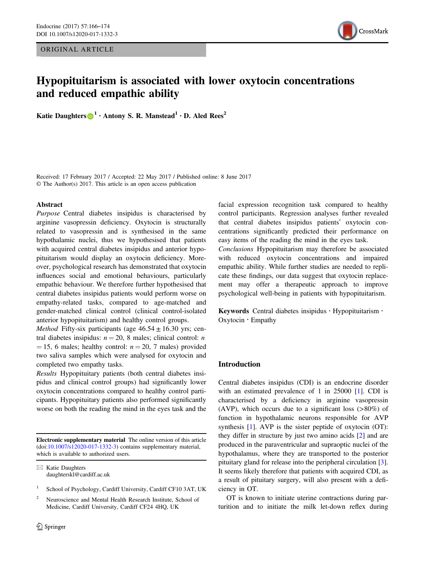ORIGINAL ARTICLE



# Hypopituitarism is associated with lower oxytocin concentrations and reduced empathic ability

Katie Daughter[s](http://orcid.org/0000-0001-5889-8464)  $\mathbf{D}^1$  · Antony S. R. Manstead  $\mathbf{A}$  · D. Aled Rees<sup>2</sup>

Received: 17 February 2017 / Accepted: 22 May 2017 / Published online: 8 June 2017 © The Author(s) 2017. This article is an open access publication

#### Abstract

Purpose Central diabetes insipidus is characterised by arginine vasopressin deficiency. Oxytocin is structurally related to vasopressin and is synthesised in the same hypothalamic nuclei, thus we hypothesised that patients with acquired central diabetes insipidus and anterior hypopituitarism would display an oxytocin deficiency. Moreover, psychological research has demonstrated that oxytocin influences social and emotional behaviours, particularly empathic behaviour. We therefore further hypothesised that central diabetes insipidus patients would perform worse on empathy-related tasks, compared to age-matched and gender-matched clinical control (clinical control-isolated anterior hypopituitarism) and healthy control groups.

*Method* Fifty-six participants (age  $46.54 \pm 16.30$  yrs; central diabetes insipidus:  $n = 20$ , 8 males; clinical control: *n*  $= 15$ , 6 males; healthy control:  $n = 20$ , 7 males) provided two saliva samples which were analysed for oxytocin and completed two empathy tasks.

Results Hypopituitary patients (both central diabetes insipidus and clinical control groups) had significantly lower oxytocin concentrations compared to healthy control participants. Hypopituitary patients also performed significantly worse on both the reading the mind in the eyes task and the

Electronic supplementary material The online version of this article (doi:[10.1007/s12020-017-1332-3](http://dx.doi.org/10.1007/s12020-017-1332-3)) contains supplementary material, which is available to authorized users.

 $\boxtimes$  Katie Daughters [daughterskl@cardiff.ac.uk](mailto:daughterskl@cardiff.ac.uk)

- School of Psychology, Cardiff University, Cardiff CF10 3AT, UK
- <sup>2</sup> Neuroscience and Mental Health Research Institute, School of Medicine, Cardiff University, Cardiff CF24 4HQ, UK

facial expression recognition task compared to healthy control participants. Regression analyses further revealed that central diabetes insipidus patients' oxytocin concentrations significantly predicted their performance on easy items of the reading the mind in the eyes task. Conclusions Hypopituitarism may therefore be associated with reduced oxytocin concentrations and impaired empathic ability. While further studies are needed to replicate these findings, our data suggest that oxytocin replacement may offer a therapeutic approach to improve psychological well-being in patients with hypopituitarism.

Keywords Central diabetes insipidus · Hypopituitarism · Oxytocin  $\cdot$  Empathy

# Introduction

Central diabetes insipidus (CDI) is an endocrine disorder with an estimated prevalence of 1 in 25000 [\[1](#page-7-0)]. CDI is characterised by a deficiency in arginine vasopressin (AVP), which occurs due to a significant loss (>80%) of function in hypothalamic neurons responsible for AVP synthesis [\[1](#page-7-0)]. AVP is the sister peptide of oxytocin (OT): they differ in structure by just two amino acids [\[2](#page-7-0)] and are produced in the paraventricular and supraoptic nuclei of the hypothalamus, where they are transported to the posterior pituitary gland for release into the peripheral circulation [[3\]](#page-7-0). It seems likely therefore that patients with acquired CDI, as a result of pituitary surgery, will also present with a deficiency in OT.

OT is known to initiate uterine contractions during parturition and to initiate the milk let-down reflex during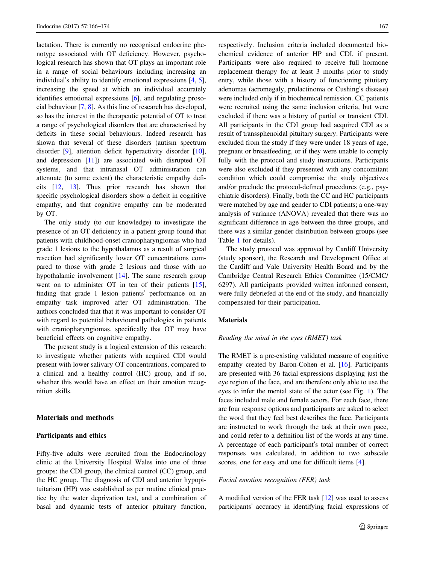lactation. There is currently no recognised endocrine phenotype associated with OT deficiency. However, psychological research has shown that OT plays an important role in a range of social behaviours including increasing an individual's ability to identify emotional expressions [[4,](#page-7-0) [5](#page-7-0)], increasing the speed at which an individual accurately identifies emotional expressions [\[6](#page-7-0)], and regulating prosocial behaviour [\[7](#page-7-0), [8](#page-7-0)]. As this line of research has developed, so has the interest in the therapeutic potential of OT to treat a range of psychological disorders that are characterised by deficits in these social behaviours. Indeed research has shown that several of these disorders (autism spectrum disorder [\[9](#page-7-0)], attention deficit hyperactivity disorder [\[10](#page-8-0)], and depression [[11\]](#page-8-0)) are associated with disrupted OT systems, and that intranasal OT administration can attenuate (to some extent) the characteristic empathy deficits [\[12](#page-8-0), [13](#page-8-0)]. Thus prior research has shown that specific psychological disorders show a deficit in cognitive empathy, and that cognitive empathy can be moderated by OT.

The only study (to our knowledge) to investigate the presence of an OT deficiency in a patient group found that patients with childhood-onset craniopharyngiomas who had grade 1 lesions to the hypothalamus as a result of surgical resection had significantly lower OT concentrations compared to those with grade 2 lesions and those with no hypothalamic involvement [[14\]](#page-8-0). The same research group went on to administer OT in ten of their patients [\[15](#page-8-0)], finding that grade 1 lesion patients' performance on an empathy task improved after OT administration. The authors concluded that that it was important to consider OT with regard to potential behavioural pathologies in patients with craniopharyngiomas, specifically that OT may have beneficial effects on cognitive empathy.

The present study is a logical extension of this research: to investigate whether patients with acquired CDI would present with lower salivary OT concentrations, compared to a clinical and a healthy control (HC) group, and if so, whether this would have an effect on their emotion recognition skills.

# Materials and methods

#### Participants and ethics

Fifty-five adults were recruited from the Endocrinology clinic at the University Hospital Wales into one of three groups: the CDI group, the clinical control (CC) group, and the HC group. The diagnosis of CDI and anterior hypopituitarism (HP) was established as per routine clinical practice by the water deprivation test, and a combination of basal and dynamic tests of anterior pituitary function, respectively. Inclusion criteria included documented biochemical evidence of anterior HP and CDI, if present. Participants were also required to receive full hormone replacement therapy for at least 3 months prior to study entry, while those with a history of functioning pituitary adenomas (acromegaly, prolactinoma or Cushing's disease) were included only if in biochemical remission. CC patients were recruited using the same inclusion criteria, but were excluded if there was a history of partial or transient CDI. All participants in the CDI group had acquired CDI as a result of transsphenoidal pituitary surgery. Participants were excluded from the study if they were under 18 years of age, pregnant or breastfeeding, or if they were unable to comply fully with the protocol and study instructions. Participants were also excluded if they presented with any concomitant condition which could compromise the study objectives and/or preclude the protocol-defined procedures (e.g., psychiatric disorders). Finally, both the CC and HC participants were matched by age and gender to CDI patients; a one-way analysis of variance (ANOVA) revealed that there was no significant difference in age between the three groups, and there was a similar gender distribution between groups (see Table [1](#page-2-0) for details).

The study protocol was approved by Cardiff University (study sponsor), the Research and Development Office at the Cardiff and Vale University Health Board and by the Cambridge Central Research Ethics Committee (15/CMC/ 6297). All participants provided written informed consent, were fully debriefed at the end of the study, and financially compensated for their participation.

# Materials

#### Reading the mind in the eyes (RMET) task

The RMET is a pre-existing validated measure of cognitive empathy created by Baron-Cohen et al. [[16\]](#page-8-0). Participants are presented with 36 facial expressions displaying just the eye region of the face, and are therefore only able to use the eyes to infer the mental state of the actor (see Fig. [1\)](#page-2-0). The faces included male and female actors. For each face, there are four response options and participants are asked to select the word that they feel best describes the face. Participants are instructed to work through the task at their own pace, and could refer to a definition list of the words at any time. A percentage of each participant's total number of correct responses was calculated, in addition to two subscale scores, one for easy and one for difficult items [\[4](#page-7-0)].

# Facial emotion recognition (FER) task

A modified version of the FER task [[12\]](#page-8-0) was used to assess participants' accuracy in identifying facial expressions of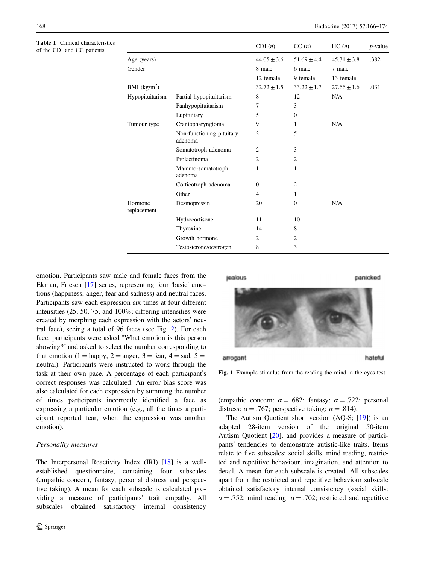<span id="page-2-0"></span>Table 1 Clinical characteristics of the CDI and CC patients

|                        |                                      | CDI(n)          | CC(n)           | HC(n)           | $p$ -value |
|------------------------|--------------------------------------|-----------------|-----------------|-----------------|------------|
| Age (years)            |                                      | $44.05 \pm 3.6$ | $51.69 \pm 4.4$ | $45.31 \pm 3.8$ | .382       |
| Gender                 |                                      | 8 male          | 6 male          | 7 male          |            |
|                        |                                      | 12 female       | 9 female        | 13 female       |            |
| BMI $(kg/m2)$          |                                      | $32.72 \pm 1.5$ | $33.22 \pm 1.7$ | $27.66 \pm 1.6$ | .031       |
| Hypopituitarism        | Partial hypopituitarism              | 8               | 12              | N/A             |            |
|                        | Panhypopituitarism                   | 7               | 3               |                 |            |
|                        | Eupituitary                          | 5               | $\mathbf{0}$    |                 |            |
| Tumour type            | Craniopharyngioma                    | 9               | 1               | N/A             |            |
|                        | Non-functioning pituitary<br>adenoma | 2               | 5               |                 |            |
|                        | Somatotroph adenoma                  | 2               | 3               |                 |            |
|                        | Prolactinoma                         | $\overline{c}$  | $\overline{2}$  |                 |            |
|                        | Mammo-somatotroph<br>adenoma         | 1               | 1               |                 |            |
|                        | Corticotroph adenoma                 | $\mathbf{0}$    | 2               |                 |            |
|                        | Other                                | $\overline{4}$  | 1               |                 |            |
| Hormone<br>replacement | Desmopressin                         | 20              | $\mathbf{0}$    | N/A             |            |
|                        | Hydrocortisone                       | 11              | 10              |                 |            |
|                        | Thyroxine                            | 14              | 8               |                 |            |
|                        | Growth hormone                       | 2               | 2               |                 |            |
|                        | Testosterone/oestrogen               | 8               | 3               |                 |            |

emotion. Participants saw male and female faces from the Ekman, Friesen [[17\]](#page-8-0) series, representing four 'basic' emotions (happiness, anger, fear and sadness) and neutral faces. Participants saw each expression six times at four different intensities (25, 50, 75, and 100%; differing intensities were created by morphing each expression with the actors' neutral face), seeing a total of 96 faces (see Fig. [2](#page-3-0)). For each face, participants were asked "What emotion is this person showing?" and asked to select the number corresponding to that emotion (1 = happy, 2 = anger, 3 = fear, 4 = sad, 5 = neutral). Participants were instructed to work through the task at their own pace. A percentage of each participant's correct responses was calculated. An error bias score was also calculated for each expression by summing the number of times participants incorrectly identified a face as expressing a particular emotion (e.g., all the times a participant reported fear, when the expression was another emotion).

#### Personality measures

The Interpersonal Reactivity Index (IRI) [[18\]](#page-8-0) is a wellestablished questionnaire, containing four subscales (empathic concern, fantasy, personal distress and perspective taking). A mean for each subscale is calculated providing a measure of participants' trait empathy. All subscales obtained satisfactory internal consistency



arrogant



hateful



Fig. 1 Example stimulus from the reading the mind in the eyes test

(empathic concern:  $\alpha = .682$ ; fantasy:  $\alpha = .722$ ; personal distress:  $\alpha = .767$ ; perspective taking:  $\alpha = .814$ ).

The Autism Quotient short version (AQ-S; [\[19](#page-8-0)]) is an adapted 28-item version of the original 50-item Autism Quotient [\[20](#page-8-0)], and provides a measure of participants' tendencies to demonstrate autistic-like traits. Items relate to five subscales: social skills, mind reading, restricted and repetitive behaviour, imagination, and attention to detail. A mean for each subscale is created. All subscales apart from the restricted and repetitive behaviour subscale obtained satisfactory internal consistency (social skills:  $\alpha = .752$ ; mind reading:  $\alpha = .702$ ; restricted and repetitive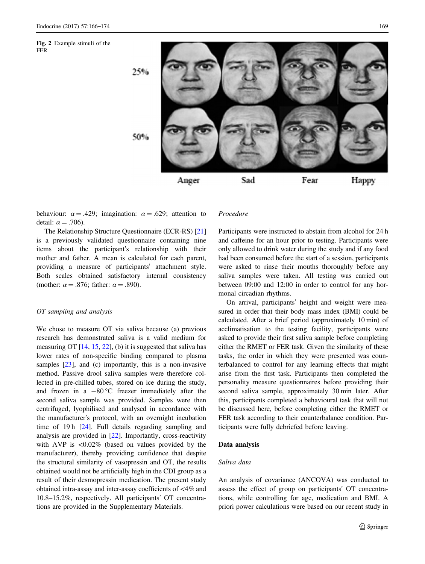<span id="page-3-0"></span>Fig. 2 Example stimuli of the FER

![](_page_3_Picture_3.jpeg)

behaviour:  $\alpha = .429$ ; imagination:  $\alpha = .629$ ; attention to detail:  $\alpha = .706$ ).

The Relationship Structure Questionnaire (ECR-RS) [[21\]](#page-8-0) is a previously validated questionnaire containing nine items about the participant's relationship with their mother and father. A mean is calculated for each parent, providing a measure of participants' attachment style. Both scales obtained satisfactory internal consistency (mother:  $\alpha = .876$ ; father:  $\alpha = .890$ ).

# OT sampling and analysis

We chose to measure OT via saliva because (a) previous research has demonstrated saliva is a valid medium for measuring OT  $[14, 15, 22]$  $[14, 15, 22]$  $[14, 15, 22]$  $[14, 15, 22]$  $[14, 15, 22]$  $[14, 15, 22]$ , (b) it is suggested that saliva has lower rates of non-specific binding compared to plasma samples [[23\]](#page-8-0), and (c) importantly, this is a non-invasive method. Passive drool saliva samples were therefore collected in pre-chilled tubes, stored on ice during the study, and frozen in a  $-80$  °C freezer immediately after the second saliva sample was provided. Samples were then centrifuged, lyophilised and analysed in accordance with the manufacturer's protocol, with an overnight incubation time of 19 h [\[24](#page-8-0)]. Full details regarding sampling and analysis are provided in [\[22](#page-8-0)]. Importantly, cross-reactivity with AVP is  $\langle 0.02\%$  (based on values provided by the manufacturer), thereby providing confidence that despite the structural similarity of vasopressin and OT, the results obtained would not be artificially high in the CDI group as a result of their desmopressin medication. The present study obtained intra-assay and inter-assay coefficients of <4% and 10.8–15.2%, respectively. All participants' OT concentrations are provided in the Supplementary Materials.

#### Procedure

Participants were instructed to abstain from alcohol for 24 h and caffeine for an hour prior to testing. Participants were only allowed to drink water during the study and if any food had been consumed before the start of a session, participants were asked to rinse their mouths thoroughly before any saliva samples were taken. All testing was carried out between 09:00 and 12:00 in order to control for any hormonal circadian rhythms.

On arrival, participants' height and weight were measured in order that their body mass index (BMI) could be calculated. After a brief period (approximately 10 min) of acclimatisation to the testing facility, participants were asked to provide their first saliva sample before completing either the RMET or FER task. Given the similarity of these tasks, the order in which they were presented was counterbalanced to control for any learning effects that might arise from the first task. Participants then completed the personality measure questionnaires before providing their second saliva sample, approximately 30 min later. After this, participants completed a behavioural task that will not be discussed here, before completing either the RMET or FER task according to their counterbalance condition. Participants were fully debriefed before leaving.

### Data analysis

# Saliva data

An analysis of covariance (ANCOVA) was conducted to assess the effect of group on participants' OT concentrations, while controlling for age, medication and BMI. A priori power calculations were based on our recent study in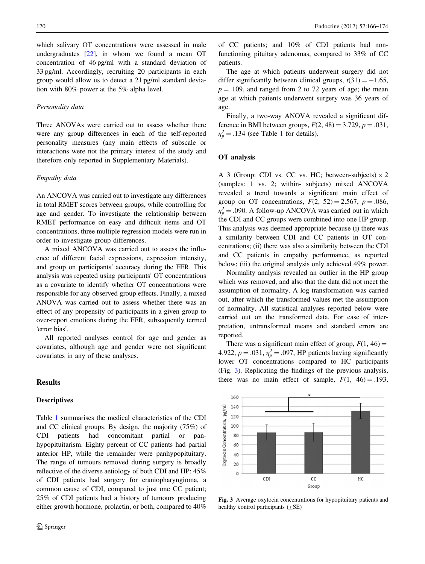which salivary OT concentrations were assessed in male undergraduates [\[22](#page-8-0)], in whom we found a mean OT concentration of 46 pg/ml with a standard deviation of 33 pg/ml. Accordingly, recruiting 20 participants in each group would allow us to detect a 21 pg/ml standard deviation with 80% power at the 5% alpha level.

#### Personality data

Three ANOVAs were carried out to assess whether there were any group differences in each of the self-reported personality measures (any main effects of subscale or interactions were not the primary interest of the study and therefore only reported in Supplementary Materials).

#### Empathy data

An ANCOVA was carried out to investigate any differences in total RMET scores between groups, while controlling for age and gender. To investigate the relationship between RMET performance on easy and difficult items and OT concentrations, three multiple regression models were run in order to investigate group differences.

A mixed ANCOVA was carried out to assess the influence of different facial expressions, expression intensity, and group on participants' accuracy during the FER. This analysis was repeated using participants' OT concentrations as a covariate to identify whether OT concentrations were responsible for any observed group effects. Finally, a mixed ANOVA was carried out to assess whether there was an effect of any propensity of participants in a given group to over-report emotions during the FER, subsequently termed 'error bias'.

All reported analyses control for age and gender as covariates, although age and gender were not significant covariates in any of these analyses.

# Results

#### **Descriptives**

Table [1](#page-2-0) summarises the medical characteristics of the CDI and CC clinical groups. By design, the majority (75%) of CDI patients had concomitant partial or panhypopituitarism. Eighty percent of CC patients had partial anterior HP, while the remainder were panhypopituitary. The range of tumours removed during surgery is broadly reflective of the diverse aetiology of both CDI and HP: 45% of CDI patients had surgery for craniopharyngioma, a common cause of CDI, compared to just one CC patient; 25% of CDI patients had a history of tumours producing either growth hormone, prolactin, or both, compared to 40% of CC patients; and 10% of CDI patients had nonfunctioning pituitary adenomas, compared to 33% of CC patients.

The age at which patients underwent surgery did not differ significantly between clinical groups,  $t(31) = -1.65$ ,  $p = .109$ , and ranged from 2 to 72 years of age; the mean age at which patients underwent surgery was 36 years of age.

Finally, a two-way ANOVA revealed a significant difference in BMI between groups,  $F(2, 48) = 3.729$ ,  $p = .031$ ,  $\eta_p^2 = .134$  $\eta_p^2 = .134$  $\eta_p^2 = .134$  (see Table 1 for details).

#### OT analysis

A 3 (Group: CDI vs. CC vs. HC; between-subjects)  $\times$  2 (samples: 1 vs. 2; within- subjects) mixed ANCOVA revealed a trend towards a significant main effect of group on OT concentrations,  $F(2, 52) = 2.567$ ,  $p = .086$ ,  $\eta_p^2 = .090$ . A follow-up ANCOVA was carried out in which the CDI and CC groups were combined into one HP group. This analysis was deemed appropriate because (i) there was a similarity between CDI and CC patients in OT concentrations; (ii) there was also a similarity between the CDI and CC patients in empathy performance, as reported below; (iii) the original analysis only achieved 49% power.

Normality analysis revealed an outlier in the HP group which was removed, and also that the data did not meet the assumption of normality. A log transformation was carried out, after which the transformed values met the assumption of normality. All statistical analyses reported below were carried out on the transformed data. For ease of interpretation, untransformed means and standard errors are reported.

There was a significant main effect of group,  $F(1, 46) =$ 4.922,  $p = .031$ ,  $\eta_p^2 = .097$ , HP patients having significantly lower OT concentrations compared to HC participants (Fig. 3). Replicating the findings of the previous analysis, there was no main effect of sample,  $F(1, 46) = .193$ ,

![](_page_4_Figure_20.jpeg)

Fig. 3 Average oxytocin concentrations for hypopituitary patients and healthy control participants  $(\pm SE)$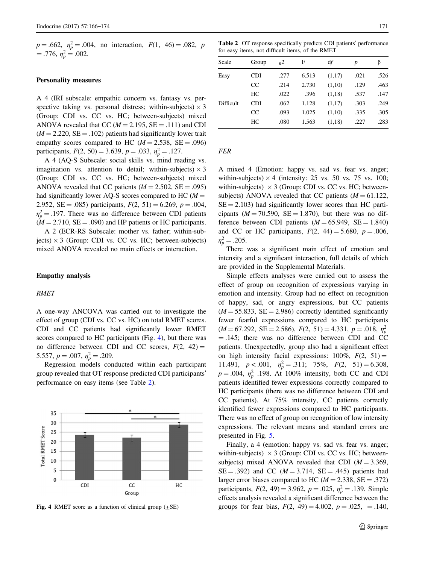$p = .662$ ,  $\eta_p^2 = .004$ , no interaction,  $F(1, 46) = .082$ , p  $= .776, \eta_p^2 = .002.$ 

# Personality measures

A 4 (IRI subscale: empathic concern vs. fantasy vs. perspective taking vs. personal distress; within-subjects)  $\times$  3 (Group: CDI vs. CC vs. HC; between-subjects) mixed ANOVA revealed that CC ( $M = 2.195$ , SE = .111) and CDI  $(M = 2.220, SE = .102)$  patients had significantly lower trait empathy scores compared to HC ( $M = 2.538$ , SE = .096) participants,  $F(2, 50) = 3.639$ ,  $p = .033$ ,  $\eta_p^2 = .127$ .

A 4 (AQ-S Subscale: social skills vs. mind reading vs. imagination vs. attention to detail; within-subjects)  $\times$  3 (Group: CDI vs. CC vs. HC; between-subjects) mixed ANOVA revealed that CC patients ( $M = 2.502$ , SE = .095) had significantly lower AQ-S scores compared to HC ( $M =$ 2.952, SE = .085) participants,  $F(2, 51) = 6.269$ ,  $p = .004$ ,  $\eta_p^2 = .197$ . There was no difference between CDI patients  $(M = 2.710, SE = .090)$  and HP patients or HC participants.

A 2 (ECR-RS Subscale: mother vs. father; within-subjects)  $\times$  3 (Group: CDI vs. CC vs. HC; between-subjects) mixed ANOVA revealed no main effects or interaction.

# Empathy analysis

# RMET

A one-way ANCOVA was carried out to investigate the effect of group (CDI vs. CC vs. HC) on total RMET scores. CDI and CC patients had significantly lower RMET scores compared to HC participants (Fig. 4), but there was no difference between CDI and CC scores,  $F(2, 42) =$ 5.557,  $p = .007$ ,  $\eta_p^2 = .209$ .

Regression models conducted within each participant group revealed that OT response predicted CDI participants' performance on easy items (see Table 2).

![](_page_5_Figure_10.jpeg)

Table 2 OT response specifically predicts CDI patients' performance for easy items, not difficult items, of the RMET

| Scale     | Group      | $R^2$ | F     | df     | $\boldsymbol{p}$ | β    |
|-----------|------------|-------|-------|--------|------------------|------|
| Easy      | <b>CDI</b> | .277  | 6.513 | (1,17) | .021             | .526 |
|           | CC         | .214  | 2.730 | (1,10) | .129             | .463 |
|           | HC         | .022  | .396  | (1,18) | .537             | .147 |
| Difficult | <b>CDI</b> | .062  | 1.128 | (1,17) | .303             | .249 |
|           | CC         | .093  | 1.025 | (1,10) | .335             | .305 |
|           | HC         | .080  | 1.563 | (1,18) | .227             | .283 |

FER

A mixed 4 (Emotion: happy vs. sad vs. fear vs. anger; within-subjects)  $\times$  4 (intensity: 25 vs. 50 vs. 75 vs. 100; within-subjects)  $\times$  3 (Group: CDI vs. CC vs. HC; betweensubjects) ANOVA revealed that CC patients  $(M = 61.122$ ,  $SE = 2.103$ ) had significantly lower scores than HC participants ( $M = 70.590$ ,  $SE = 1.870$ ), but there was no difference between CDI patients  $(M = 65.949, \text{ SE} = 1.840)$ and CC or HC participants,  $F(2, 44) = 5.680, p = .006$ ,  $\eta_p^2 = .205$ .

There was a significant main effect of emotion and intensity and a significant interaction, full details of which are provided in the Supplemental Materials.

Simple effects analyses were carried out to assess the effect of group on recognition of expressions varying in emotion and intensity. Group had no effect on recognition of happy, sad, or angry expressions, but CC patients  $(M = 55.833, SE = 2.986)$  correctly identified significantly fewer fearful expressions compared to HC participants  $(M = 67.292, \text{ SE} = 2.586), F(2, 51) = 4.331, p = .018, \eta_p^2$  $= .145$ ; there was no difference between CDI and CC patients. Unexpectedly, group also had a significant effect on high intensity facial expressions:  $100\%$ ,  $F(2, 51) =$ 11.491,  $p < .001$ ,  $\eta_p^2 = .311$ ; 75%,  $F(2, 51) = 6.308$ ,  $p = .004$ ,  $\eta_p^2$  .198. At 100% intensity, both CC and CDI patients identified fewer expressions correctly compared to HC participants (there was no difference between CDI and CC patients). At 75% intensity, CC patients correctly identified fewer expressions compared to HC participants. There was no effect of group on recognition of low intensity expressions. The relevant means and standard errors are presented in Fig. [5](#page-6-0).

Finally, a 4 (emotion: happy vs. sad vs. fear vs. anger; within-subjects)  $\times$  3 (Group: CDI vs. CC vs. HC; betweensubjects) mixed ANOVA revealed that CDI  $(M = 3.369$ ,  $SE = .392$ ) and CC ( $M = 3.714$ ,  $SE = .445$ ) patients had larger error biases compared to HC ( $M = 2.338$ , SE = .372) participants,  $F(2, 49) = 3.962$ ,  $p = .025$ ,  $\eta_p^2 = .139$ . Simple effects analysis revealed a significant difference between the Fig. 4 RMET score as a function of clinical group ( $\pm$ SE) groups for fear bias,  $F(2, 49) = 4.002$ ,  $p = .025$ , = .140,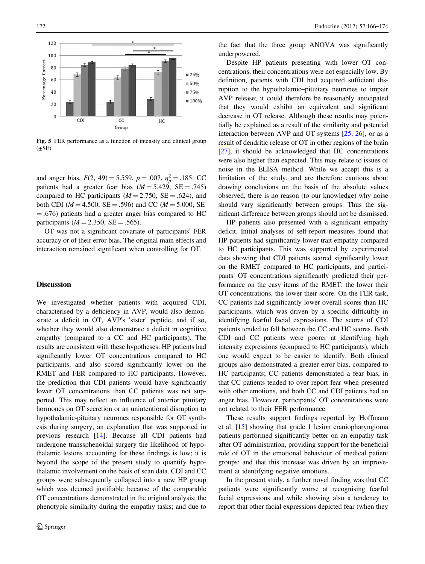<span id="page-6-0"></span>![](_page_6_Figure_1.jpeg)

Fig. 5 FER performance as a function of intensity and clinical group  $(\pm SE)$ 

and anger bias,  $F(2, 49) = 5.559$ ,  $p = .007$ ,  $\eta_p^2 = .185$ : CC patients had a greater fear bias  $(M = 5.429, \text{ SE} = .745)$ compared to HC participants ( $M = 2.750$ , SE = .624), and both CDI ( $M = 4.500$ , SE = .596) and CC ( $M = 5.000$ , SE = .676) patients had a greater anger bias compared to HC participants ( $M = 2.350$ , SE = .565).

OT was not a significant covariate of participants' FER accuracy or of their error bias. The original main effects and interaction remained significant when controlling for OT.

# **Discussion**

We investigated whether patients with acquired CDI, characterised by a deficiency in AVP, would also demonstrate a deficit in OT, AVP's 'sister' peptide, and if so, whether they would also demonstrate a deficit in cognitive empathy (compared to a CC and HC participants). The results are consistent with these hypotheses: HP patients had significantly lower OT concentrations compared to HC participants, and also scored significantly lower on the RMET and FER compared to HC participants. However, the prediction that CDI patients would have significantly lower OT concentrations than CC patients was not supported. This may reflect an influence of anterior pituitary hormones on OT secretion or an unintentional disruption to hypothalamic-pituitary neurones responsible for OT synthesis during surgery, an explanation that was supported in previous research [[14\]](#page-8-0). Because all CDI patients had undergone transsphenoidal surgery the likelihood of hypothalamic lesions accounting for these findings is low; it is beyond the scope of the present study to quantify hypothalamic involvement on the basis of scan data. CDI and CC groups were subsequently collapsed into a new HP group which was deemed justifiable because of the comparable OT concentrations demonstrated in the original analysis; the phenotypic similarity during the empathy tasks; and due to

the fact that the three group ANOVA was significantly underpowered.

Despite HP patients presenting with lower OT concentrations, their concentrations were not especially low. By definition, patients with CDI had acquired sufficient disruption to the hypothalamic–pituitary neurones to impair AVP release; it could therefore be reasonably anticipated that they would exhibit an equivalent and significant decrease in OT release. Although these results may potentially be explained as a result of the similarity and potential interaction between AVP and OT systems [\[25](#page-8-0), [26](#page-8-0)], or as a result of dendritic release of OT in other regions of the brain [\[27](#page-8-0)], it should be acknowledged that HC concentrations were also higher than expected. This may relate to issues of noise in the ELISA method. While we accept this is a limitation of the study, and are therefore cautious about drawing conclusions on the basis of the absolute values observed, there is no reason (to our knowledge) why noise should vary significantly between groups. Thus the significant difference between groups should not be dismissed.

HP patients also presented with a significant empathy deficit. Initial analyses of self-report measures found that HP patients had significantly lower trait empathy compared to HC participants. This was supported by experimental data showing that CDI patients scored significantly lower on the RMET compared to HC participants, and participants' OT concentrations significantly predicted their performance on the easy items of the RMET: the lower their OT concentrations, the lower their score. On the FER task, CC patients had significantly lower overall scores than HC participants, which was driven by a specific difficultly in identifying fearful facial expressions. The scores of CDI patients tended to fall between the CC and HC scores. Both CDI and CC patients were poorer at identifying high intensity expressions (compared to HC participants), which one would expect to be easier to identify. Both clinical groups also demonstrated a greater error bias, compared to HC participants; CC patients demonstrated a fear bias, in that CC patients tended to over report fear when presented with other emotions, and both CC and CDI patients had an anger bias. However, participants' OT concentrations were not related to their FER performance.

These results support findings reported by Hoffmann et al. [\[15](#page-8-0)] showing that grade 1 lesion craniopharyngioma patients performed significantly better on an empathy task after OT administration, providing support for the beneficial role of OT in the emotional behaviour of medical patient groups; and that this increase was driven by an improvement at identifying negative emotions.

In the present study, a further novel finding was that CC patients were significantly worse at recognising fearful facial expressions and while showing also a tendency to report that other facial expressions depicted fear (when they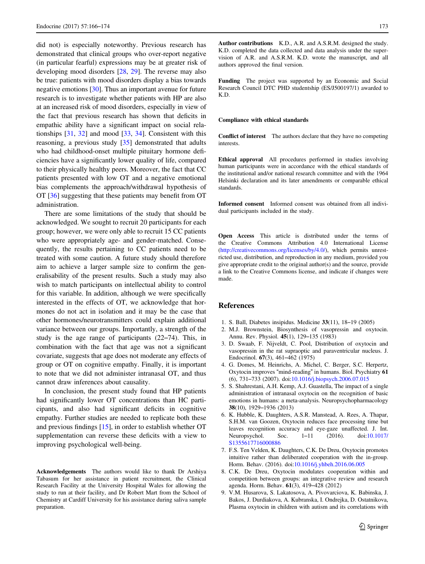<span id="page-7-0"></span>did not) is especially noteworthy. Previous research has demonstrated that clinical groups who over-report negative (in particular fearful) expressions may be at greater risk of developing mood disorders [\[28](#page-8-0), [29](#page-8-0)]. The reverse may also be true: patients with mood disorders display a bias towards negative emotions [[30\]](#page-8-0). Thus an important avenue for future research is to investigate whether patients with HP are also at an increased risk of mood disorders, especially in view of the fact that previous research has shown that deficits in empathic ability have a significant impact on social relationships [\[31](#page-8-0), [32](#page-8-0)] and mood [\[33](#page-8-0), [34](#page-8-0)]. Consistent with this reasoning, a previous study [[35\]](#page-8-0) demonstrated that adults who had childhood-onset multiple pituitary hormone deficiencies have a significantly lower quality of life, compared to their physically healthy peers. Moreover, the fact that CC patients presented with low OT and a negative emotional bias complements the approach/withdrawal hypothesis of OT [\[36](#page-8-0)] suggesting that these patients may benefit from OT administration.

There are some limitations of the study that should be acknowledged. We sought to recruit 20 participants for each group; however, we were only able to recruit 15 CC patients who were appropriately age- and gender-matched. Consequently, the results pertaining to CC patients need to be treated with some caution. A future study should therefore aim to achieve a larger sample size to confirm the generalisability of the present results. Such a study may also wish to match participants on intellectual ability to control for this variable. In addition, although we were specifically interested in the effects of OT, we acknowledge that hormones do not act in isolation and it may be the case that other hormones/neurotransmitters could explain additional variance between our groups. Importantly, a strength of the study is the age range of participants (22–74). This, in combination with the fact that age was not a significant covariate, suggests that age does not moderate any effects of group or OT on cognitive empathy. Finally, it is important to note that we did not administer intranasal OT, and thus cannot draw inferences about causality.

In conclusion, the present study found that HP patients had significantly lower OT concentrations than HC participants, and also had significant deficits in cognitive empathy. Further studies are needed to replicate both these and previous findings [\[15](#page-8-0)], in order to establish whether OT supplementation can reverse these deficits with a view to improving psychological well-being.

Acknowledgements The authors would like to thank Dr Arshiya Tabasum for her assistance in patient recruitment, the Clinical Research Facility at the University Hospital Wales for allowing the study to run at their facility, and Dr Robert Mart from the School of Chemistry at Cardiff University for his assistance during saliva sample preparation.

Author contributions K.D., A.R. and A.S.R.M. designed the study. K.D. completed the data collected and data analysis under the supervision of A.R. and A.S.R.M. K.D. wrote the manuscript, and all authors approved the final version.

Funding The project was supported by an Economic and Social Research Council DTC PHD studentship (ES/J500197/1) awarded to K.D.

#### Compliance with ethical standards

Conflict of interest The authors declare that they have no competing interests.

Ethical approval All procedures performed in studies involving human participants were in accordance with the ethical standards of the institutional and/or national research committee and with the 1964 Helsinki declaration and its later amendments or comparable ethical standards.

Informed consent Informed consent was obtained from all individual participants included in the study.

Open Access This article is distributed under the terms of the Creative Commons Attribution 4.0 International License ([http://creativecommons.org/licenses/by/4.0/\)](http://creativecommons.org/licenses/by/4.0/), which permits unrestricted use, distribution, and reproduction in any medium, provided you give appropriate credit to the original author(s) and the source, provide a link to the Creative Commons license, and indicate if changes were made.

#### References

- 1. S. Ball, Diabetes insipidus. Medicine 33(11), 18–19 (2005)
- 2. M.J. Brownstein, Biosynthesis of vasopressin and oxytocin. Annu. Rev. Physiol. 45(1), 129–135 (1983)
- 3. D. Swaab, F. Nijveldt, C. Pool, Distribution of oxytocin and vasopressin in the rat supraoptic and paraventricular nucleus. J. Endocrinol. 67(3), 461–462 (1975)
- 4. G. Domes, M. Heinrichs, A. Michel, C. Berger, S.C. Herpertz, Oxytocin improves "mind-reading" in humans. Biol. Psychiatry 61 (6), 731–733 (2007). doi[:10.1016/j.biopsych.2006.07.015](http://dx.doi.org/10.1016/j.biopsych.2006.07.015)
- 5. S. Shahrestani, A.H. Kemp, A.J. Guastella, The impact of a single administration of intranasal oxytocin on the recognition of basic emotions in humans: a meta-analysis. Neuropsychopharmacology 38(10), 1929–1936 (2013)
- 6. K. Hubble, K. Daughters, A.S.R. Manstead, A. Rees, A. Thapar, S.H.M. van Goozen, Oxytocin reduces face processing time but leaves recognition accuracy and eye-gaze unaffected. J. Int. Neuropsychol. Soc. 1–11 (2016). doi[:10.1017/](http://dx.doi.org/10.1017/S1355617716000886) [S1355617716000886](http://dx.doi.org/10.1017/S1355617716000886)
- 7. F.S. Ten Velden, K. Daughters, C.K. De Dreu, Oxytocin promotes intuitive rather than deliberated cooperation with the in-group. Horm. Behav. (2016). doi[:10.1016/j.yhbeh.2016.06.005](http://dx.doi.org/10.1016/j.yhbeh.2016.06.005)
- 8. C.K. De Dreu, Oxytocin modulates cooperation within and competition between groups: an integrative review and research agenda. Horm. Behav. 61(3), 419–428 (2012)
- 9. V.M. Husarova, S. Lakatosova, A. Pivovarciova, K. Babinska, J. Bakos, J. Durdiakova, A. Kubranska, I. Ondrejka, D. Ostatnikova, Plasma oxytocin in children with autism and its correlations with